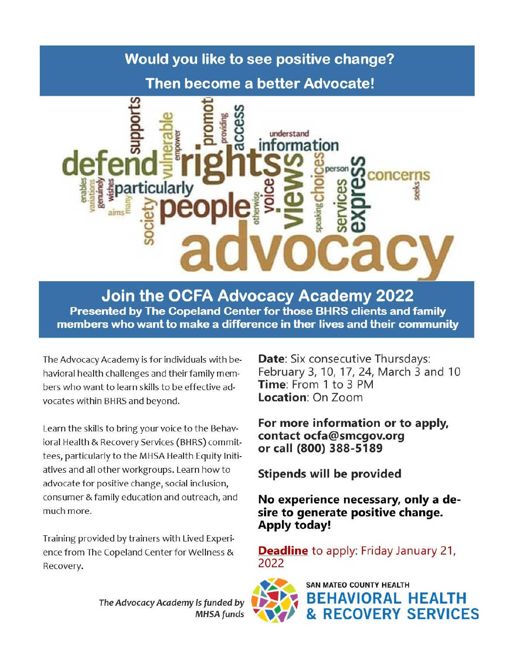## Would you like to see positive change?

### **Then become a better Advocate!**



**Join the OCFA Advocacy Academy 2022** Presented by The Copeland Center for those BHRS clients and family members who want to make a difference in ther lives and their community

The Advocacy Academy is for individuals with behavioral health challenges and their family members who want to learn skills to be effective advocates within BHRS and beyond.

Learn the skills to bring your voice to the Behavioral Health & Recovery Services (BHRS) committees, particularly to the MHSA Health Equity Initiatives and all other workgroups. Learn how to advocate for positive change, social inclusion, consumer & family education and outreach, and much more.

Training provided by trainers with Lived Experience from The Copeland Center for Wellness & Recovery.

Date: Six consecutive Thursdays: February 3, 10, 17, 24, March 3 and 10 Time: From 1 to 3 PM Location: On Zoom

For more information or to apply, contact ocfa@smcgov.org or call (800) 388-5189

Stipends will be provided

No experience necessary, only a desire to generate positive change. **Apply today!** 

**Deadline** to apply: Friday January 21, 2022



**SAN MATEO COUNTY HEALTH BEHAVIORAL HEALTH RECOVERY SERVICES** 

The Advocacy Academy is funded by **MHSA** funds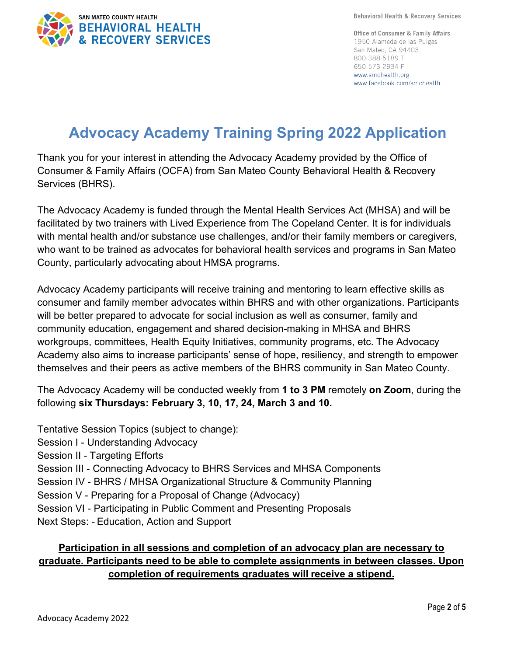

**Behavioral Health & Recovery Services** 

**Office of Consumer & Family Affairs** 1950 Alameda de las Pulgas San Mateo, CA 94403 800-388-5189 T 650-573-2934 F www.smchealth.org www.facebook.com/smchealth

# **Advocacy Academy Training Spring 2022 Application**

Thank you for your interest in attending the Advocacy Academy provided by the Office of Consumer & Family Affairs (OCFA) from San Mateo County Behavioral Health & Recovery Services (BHRS).

The Advocacy Academy is funded through the Mental Health Services Act (MHSA) and will be facilitated by two trainers with Lived Experience from The Copeland Center. It is for individuals with mental health and/or substance use challenges, and/or their family members or caregivers, who want to be trained as advocates for behavioral health services and programs in San Mateo County, particularly advocating about HMSA programs.

Advocacy Academy participants will receive training and mentoring to learn effective skills as consumer and family member advocates within BHRS and with other organizations. Participants will be better prepared to advocate for social inclusion as well as consumer, family and community education, engagement and shared decision-making in MHSA and BHRS workgroups, committees, Health Equity Initiatives, community programs, etc. The Advocacy Academy also aims to increase participants' sense of hope, resiliency, and strength to empower themselves and their peers as active members of the BHRS community in San Mateo County.

The Advocacy Academy will be conducted weekly from **1 to 3 PM** remotely **on Zoom**, during the following **six Thursdays: February 3, 10, 17, 24, March 3 and 10.**

Tentative Session Topics (subject to change): Session I - Understanding Advocacy Session II - Targeting Efforts Session III - Connecting Advocacy to BHRS Services and MHSA Components Session IV - BHRS / MHSA Organizational Structure & Community Planning Session V - Preparing for a Proposal of Change (Advocacy) Session VI - Participating in Public Comment and Presenting Proposals Next Steps: - Education, Action and Support

### **Participation in all sessions and completion of an advocacy plan are necessary to graduate. Participants need to be able to complete assignments in between classes. Upon completion of requirements graduates will receive a stipend.**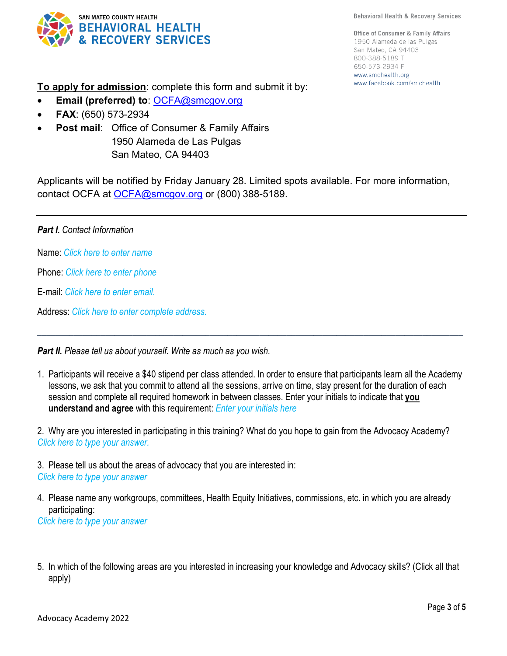**Behavioral Health & Recovery Services** 



**Office of Consumer & Family Affairs** 1950 Alameda de las Pulgas San Mateo, CA 94403 800-388-5189 T 650-573-2934 F www.smchealth.org www.facebook.com/smchealth

**To apply for admission**: complete this form and submit it by:

- **Email (preferred) to**: [OCFA@smcgov.org](https://smcgov.sharepoint.com/teams/HLT_OCFA/Lived%20Experience%20Programs/Advocacy%20Council/OCFA@smcgov.org)
- **FAX**: (650) 573-2934
- **Post mail:** Office of Consumer & Family Affairs 1950 Alameda de Las Pulgas San Mateo, CA 94403

Applicants will be notified by Friday January 28. Limited spots available. For more information, contact OCFA at [OCFA@smcgov.org](mailto:OCFA@smcgov.orgc) or (800) 388-5189.

#### *Part I. Contact Information*

Name: *Click here to enter name*

Phone: *Click here to enter phone*

E-mail: *Click here to enter email.*

Address: *Click here to enter complete address.*

*Part II. Please tell us about yourself. Write as much as you wish.*

1. Participants will receive a \$40 stipend per class attended. In order to ensure that participants learn all the Academy lessons, we ask that you commit to attend all the sessions, arrive on time, stay present for the duration of each session and complete all required homework in between classes. Enter your initials to indicate that **you understand and agree** with this requirement: *Enter your initials here*

\_\_\_\_\_\_\_\_\_\_\_\_\_\_\_\_\_\_\_\_\_\_\_\_\_\_\_\_\_\_\_\_\_\_\_\_\_\_\_\_\_\_\_\_\_\_\_\_\_\_\_\_\_\_\_\_\_\_\_\_\_\_\_\_\_\_\_\_\_\_\_\_\_\_\_\_\_\_\_\_\_\_\_\_\_\_\_\_\_\_\_\_\_\_

2. Why are you interested in participating in this training? What do you hope to gain from the Advocacy Academy? *Click here to type your answer.*

3. Please tell us about the areas of advocacy that you are interested in: *Click here to type your answer*

4. Please name any workgroups, committees, Health Equity Initiatives, commissions, etc. in which you are already participating:

*Click here to type your answer*

5. In which of the following areas are you interested in increasing your knowledge and Advocacy skills? (Click all that apply)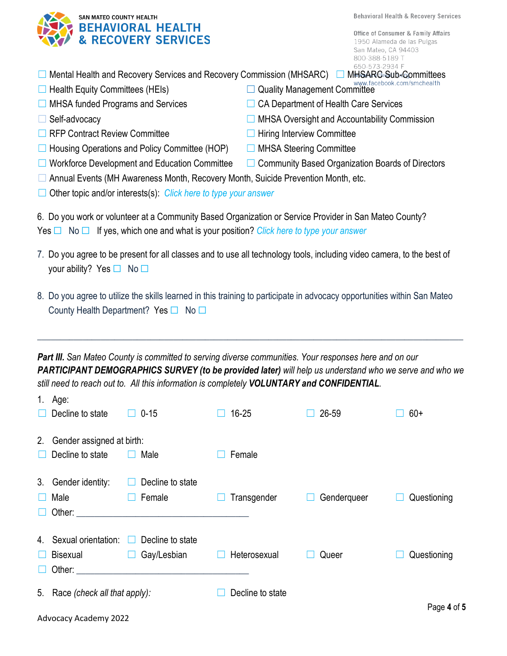**Behavioral Health & Recovery Services** 

**Office of Consumer & Family Affairs** 1950 Alameda de las Pulgas San Mateo, CA 94403 800-388-5189 T 650-573-2934 F

| SAN MATEO COUNTY HEALTH<br>BEHAVIORAL HEALTH<br>& RECOVERY SERVICES |
|---------------------------------------------------------------------|
|                                                                     |

| □ Mental Health and Recovery Services and Recovery Commission (MHSARC) □ MHSA |  |  |
|-------------------------------------------------------------------------------|--|--|

- ☐ Health Equity Committees (HEIs) ☐ Quality Management Committee
- ☐ MHSA funded Programs and Services ☐ CA Department of Health Care Services
- 

Advocacy Academy 2022

- **□ RFP Contract Review Committee □ □ Hiring Interview Committee**
- **□ Housing Operations and Policy Committee (HOP)** □ MHSA Steering Committee
- ☐ Workforce Development and Education Committee ☐ Community Based Organization Boards of Directors
- ☐ Annual Events (MH Awareness Month, Recovery Month, Suicide Prevention Month, etc.
- ☐ Other topic and/or interests(s): *Click here to type your answer*

6. Do you work or volunteer at a Community Based Organization or Service Provider in San Mateo County? Yes ☐ No ☐ If yes, which one and what is your position? *Click here to type your answer*

- 7. Do you agree to be present for all classes and to use all technology tools, including video camera, to the best of your ability? Yes □ No □
- 8. Do you agree to utilize the skills learned in this training to participate in advocacy opportunities within San Mateo County Health Department? Yes □ No □

*Part III. San Mateo County is committed to serving diverse communities. Your responses here and on our PARTICIPANT DEMOGRAPHICS SURVEY (to be provided later) will help us understand who we serve and who we still need to reach out to. All this information is completely VOLUNTARY and CONFIDENTIAL.* 

\_\_\_\_\_\_\_\_\_\_\_\_\_\_\_\_\_\_\_\_\_\_\_\_\_\_\_\_\_\_\_\_\_\_\_\_\_\_\_\_\_\_\_\_\_\_\_\_\_\_\_\_\_\_\_\_\_\_\_\_\_\_\_\_\_\_\_\_\_\_\_\_\_\_\_\_\_\_\_\_\_\_\_\_\_\_\_\_\_\_\_\_\_\_

| 1. | Age:                         |                                                                                                                                                                                                                                |                  |             |             |  |
|----|------------------------------|--------------------------------------------------------------------------------------------------------------------------------------------------------------------------------------------------------------------------------|------------------|-------------|-------------|--|
|    | Decline to state             | $0 - 15$                                                                                                                                                                                                                       | $16 - 25$        | 26-59       | $60+$       |  |
| 2. | Gender assigned at birth:    |                                                                                                                                                                                                                                |                  |             |             |  |
|    | Decline to state             | Male                                                                                                                                                                                                                           | Female           |             |             |  |
|    |                              |                                                                                                                                                                                                                                |                  |             |             |  |
| 3. | Gender identity:             | Decline to state                                                                                                                                                                                                               |                  |             |             |  |
|    | Male                         | Female                                                                                                                                                                                                                         | Transgender      | Genderqueer | Questioning |  |
|    |                              | Other: New York Street, New York Street, New York Street, New York Street, New York Street, New York Street, New York Street, New York Street, New York Street, New York Street, New York Street, New York Street, New York St |                  |             |             |  |
|    |                              |                                                                                                                                                                                                                                |                  |             |             |  |
| 4. | Sexual orientation:          | Decline to state<br>$\Box$                                                                                                                                                                                                     |                  |             |             |  |
|    | Bisexual                     | Gay/Lesbian<br>$\Box$                                                                                                                                                                                                          | Heterosexual     | Queer       | Questioning |  |
|    |                              | Other: experience of the state of the state of the state of the state of the state of the state of the state of the state of the state of the state of the state of the state of the state of the state of the state of the st |                  |             |             |  |
| 5. | Race (check all that apply): |                                                                                                                                                                                                                                | Decline to state |             |             |  |
|    |                              |                                                                                                                                                                                                                                |                  |             |             |  |
|    |                              |                                                                                                                                                                                                                                |                  |             | Page 4 of 5 |  |

- **HSARC Sub-Committees**<br>www.facebook.com/smchealth
- 
- □ Self-advocacy □ △ Self-advocacy □ △ Belf-advocacy △ Dullar and Accountability Commission
	-
	-
	-